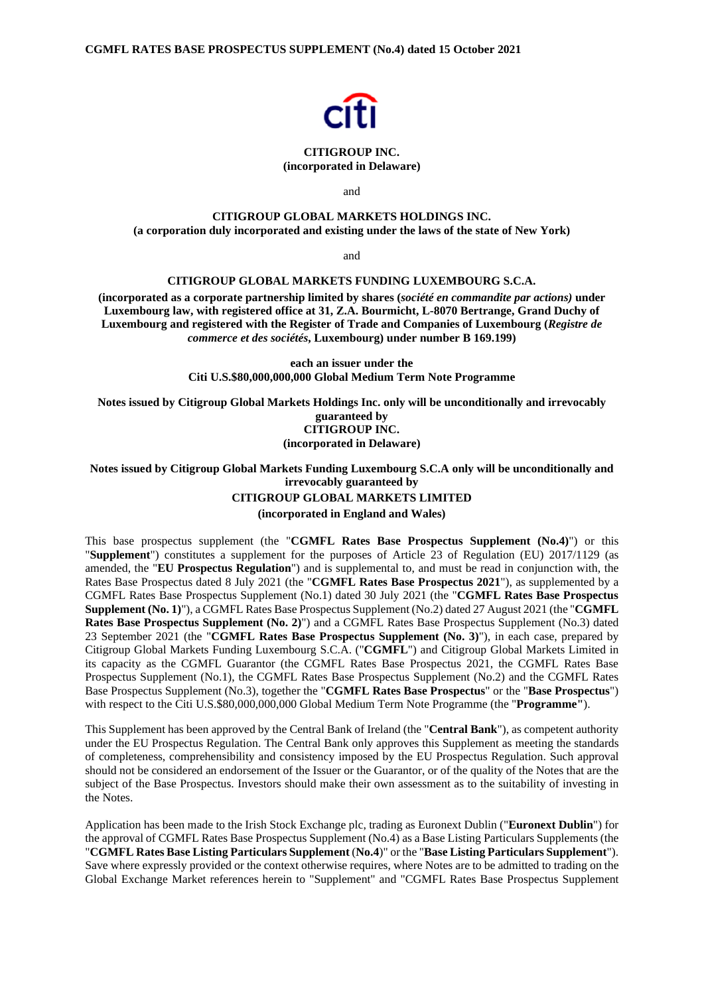

#### **CITIGROUP INC. (incorporated in Delaware)**

and

## **CITIGROUP GLOBAL MARKETS HOLDINGS INC.**

**(a corporation duly incorporated and existing under the laws of the state of New York)**

and

#### **CITIGROUP GLOBAL MARKETS FUNDING LUXEMBOURG S.C.A.**

**(incorporated as a corporate partnership limited by shares (***société en commandite par actions)* **under Luxembourg law, with registered office at 31, Z.A. Bourmicht, L-8070 Bertrange, Grand Duchy of Luxembourg and registered with the Register of Trade and Companies of Luxembourg (***Registre de commerce et des sociétés***, Luxembourg) under number B 169.199)** 

> **each an issuer under the Citi U.S.\$80,000,000,000 Global Medium Term Note Programme**

**Notes issued by Citigroup Global Markets Holdings Inc. only will be unconditionally and irrevocably guaranteed by CITIGROUP INC.** 

**(incorporated in Delaware)**

**Notes issued by Citigroup Global Markets Funding Luxembourg S.C.A only will be unconditionally and irrevocably guaranteed by CITIGROUP GLOBAL MARKETS LIMITED (incorporated in England and Wales)** 

This base prospectus supplement (the "**CGMFL Rates Base Prospectus Supplement (No.4)**") or this "**Supplement**") constitutes a supplement for the purposes of Article 23 of Regulation (EU) 2017/1129 (as amended, the "**EU Prospectus Regulation**") and is supplemental to, and must be read in conjunction with, the Rates Base Prospectus dated 8 July 2021 (the "**CGMFL Rates Base Prospectus 2021**"), as supplemented by a CGMFL Rates Base Prospectus Supplement (No.1) dated 30 July 2021 (the "**CGMFL Rates Base Prospectus Supplement (No. 1)**"), a CGMFL Rates Base Prospectus Supplement (No.2) dated 27 August 2021 (the "**CGMFL Rates Base Prospectus Supplement (No. 2)**") and a CGMFL Rates Base Prospectus Supplement (No.3) dated 23 September 2021 (the "**CGMFL Rates Base Prospectus Supplement (No. 3)**"), in each case, prepared by Citigroup Global Markets Funding Luxembourg S.C.A. ("**CGMFL**") and Citigroup Global Markets Limited in its capacity as the CGMFL Guarantor (the CGMFL Rates Base Prospectus 2021, the CGMFL Rates Base Prospectus Supplement (No.1), the CGMFL Rates Base Prospectus Supplement (No.2) and the CGMFL Rates Base Prospectus Supplement (No.3), together the "**CGMFL Rates Base Prospectus**" or the "**Base Prospectus**") with respect to the Citi U.S.\$80,000,000,000 Global Medium Term Note Programme (the "**Programme"**).

This Supplement has been approved by the Central Bank of Ireland (the "**Central Bank**"), as competent authority under the EU Prospectus Regulation. The Central Bank only approves this Supplement as meeting the standards of completeness, comprehensibility and consistency imposed by the EU Prospectus Regulation. Such approval should not be considered an endorsement of the Issuer or the Guarantor, or of the quality of the Notes that are the subject of the Base Prospectus. Investors should make their own assessment as to the suitability of investing in the Notes.

Application has been made to the Irish Stock Exchange plc, trading as Euronext Dublin ("**Euronext Dublin**") for the approval of CGMFL Rates Base Prospectus Supplement (No.4) as a Base Listing Particulars Supplements (the "**CGMFL Rates Base Listing Particulars Supplement** (**No.4**)" or the "**Base Listing Particulars Supplement**"). Save where expressly provided or the context otherwise requires, where Notes are to be admitted to trading on the Global Exchange Market references herein to "Supplement" and "CGMFL Rates Base Prospectus Supplement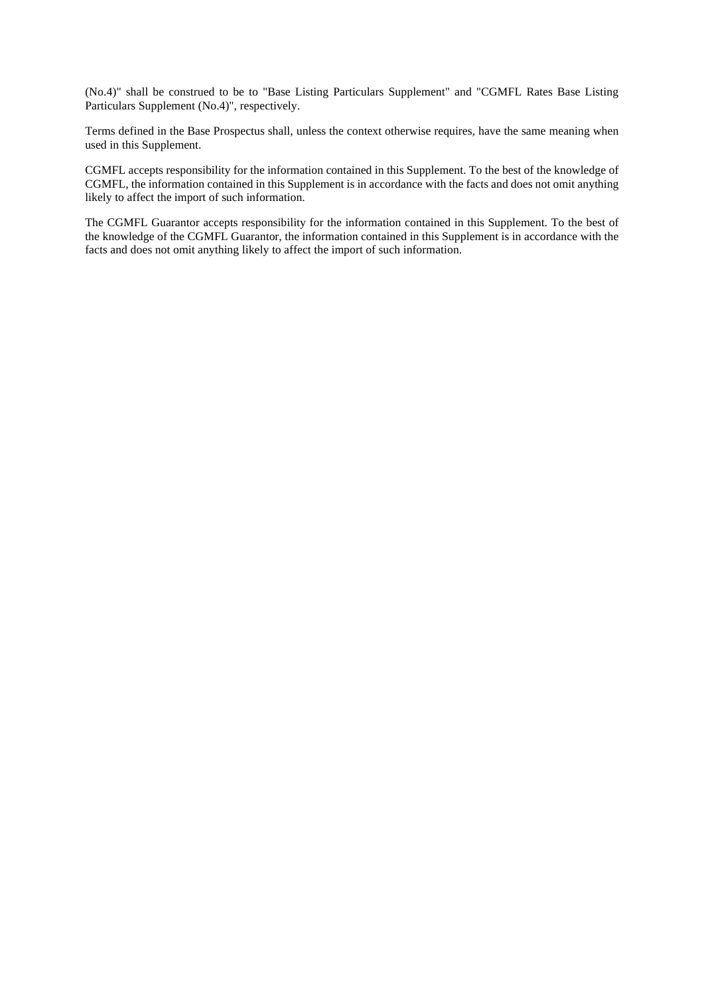(No.4)" shall be construed to be to "Base Listing Particulars Supplement" and "CGMFL Rates Base Listing Particulars Supplement (No.4)", respectively.

Terms defined in the Base Prospectus shall, unless the context otherwise requires, have the same meaning when used in this Supplement.

CGMFL accepts responsibility for the information contained in this Supplement. To the best of the knowledge of CGMFL, the information contained in this Supplement is in accordance with the facts and does not omit anything likely to affect the import of such information.

The CGMFL Guarantor accepts responsibility for the information contained in this Supplement. To the best of the knowledge of the CGMFL Guarantor, the information contained in this Supplement is in accordance with the facts and does not omit anything likely to affect the import of such information.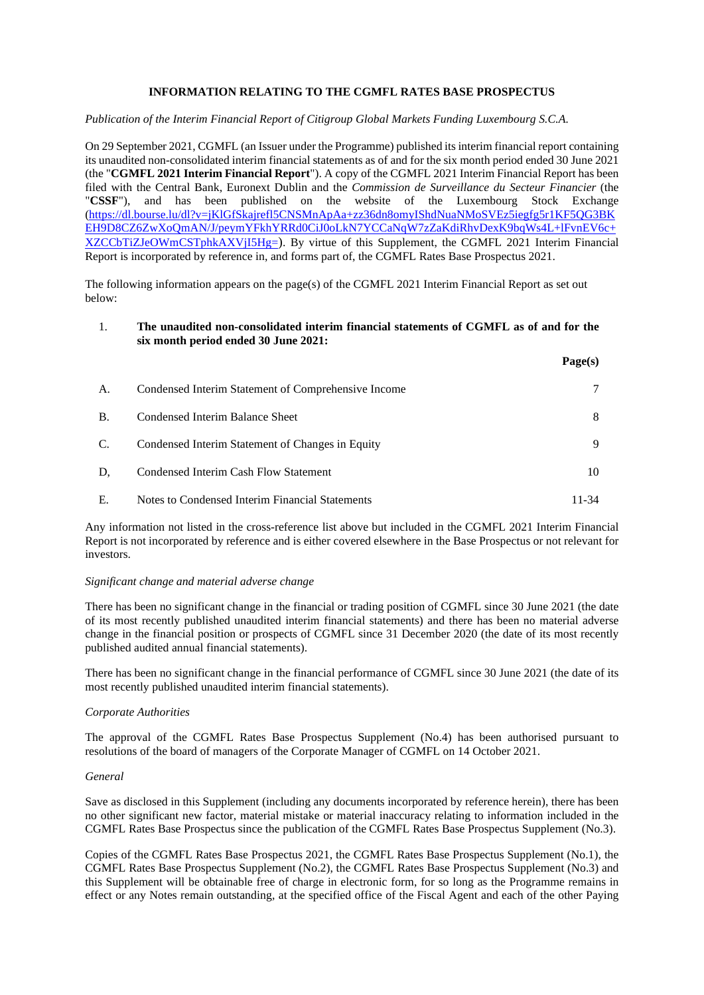## **INFORMATION RELATING TO THE CGMFL RATES BASE PROSPECTUS**

#### *Publication of the Interim Financial Report of Citigroup Global Markets Funding Luxembourg S.C.A.*

On 29 September 2021, CGMFL (an Issuer under the Programme) published its interim financial report containing its unaudited non-consolidated interim financial statements as of and for the six month period ended 30 June 2021 (the "**CGMFL 2021 Interim Financial Report**"). A copy of the CGMFL 2021 Interim Financial Report has been filed with the Central Bank, Euronext Dublin and the *Commission de Surveillance du Secteur Financier* (the "**CSSF**"), and has been published on the website of the Luxembourg Stock Exchange (https://dl.bourse.lu/dl?v=jKlGfSkajrefl5CNSMnApAa+zz36dn8omyIShdNuaNMoSVEz5iegfg5r1KF5QG3BK EH9D8CZ6ZwXoQmAN/J/peymYFkhYRRd0CiJ0oLkN7YCCaNqW7zZaKdiRhvDexK9bqWs4L+lFvnEV6c+ XZCCbTiZJeOWmCSTphkAXVjI5Hg=). By virtue of this Supplement, the CGMFL 2021 Interim Financial Report is incorporated by reference in, and forms part of, the CGMFL Rates Base Prospectus 2021.

The following information appears on the page(s) of the CGMFL 2021 Interim Financial Report as set out below:

### 1. **The unaudited non-consolidated interim financial statements of CGMFL as of and for the six month period ended 30 June 2021:**

**Page(s)** 

| А.        | Condensed Interim Statement of Comprehensive Income |       |
|-----------|-----------------------------------------------------|-------|
| <b>B.</b> | Condensed Interim Balance Sheet                     | 8     |
| C.        | Condensed Interim Statement of Changes in Equity    | 9     |
| D.        | Condensed Interim Cash Flow Statement               | 10    |
| Ε.        | Notes to Condensed Interim Financial Statements     | 11-34 |

Any information not listed in the cross-reference list above but included in the CGMFL 2021 Interim Financial Report is not incorporated by reference and is either covered elsewhere in the Base Prospectus or not relevant for investors.

#### *Significant change and material adverse change*

There has been no significant change in the financial or trading position of CGMFL since 30 June 2021 (the date of its most recently published unaudited interim financial statements) and there has been no material adverse change in the financial position or prospects of CGMFL since 31 December 2020 (the date of its most recently published audited annual financial statements).

There has been no significant change in the financial performance of CGMFL since 30 June 2021 (the date of its most recently published unaudited interim financial statements).

## *Corporate Authorities*

The approval of the CGMFL Rates Base Prospectus Supplement (No.4) has been authorised pursuant to resolutions of the board of managers of the Corporate Manager of CGMFL on 14 October 2021.

#### *General*

Save as disclosed in this Supplement (including any documents incorporated by reference herein), there has been no other significant new factor, material mistake or material inaccuracy relating to information included in the CGMFL Rates Base Prospectus since the publication of the CGMFL Rates Base Prospectus Supplement (No.3).

Copies of the CGMFL Rates Base Prospectus 2021, the CGMFL Rates Base Prospectus Supplement (No.1), the CGMFL Rates Base Prospectus Supplement (No.2), the CGMFL Rates Base Prospectus Supplement (No.3) and this Supplement will be obtainable free of charge in electronic form, for so long as the Programme remains in effect or any Notes remain outstanding, at the specified office of the Fiscal Agent and each of the other Paying